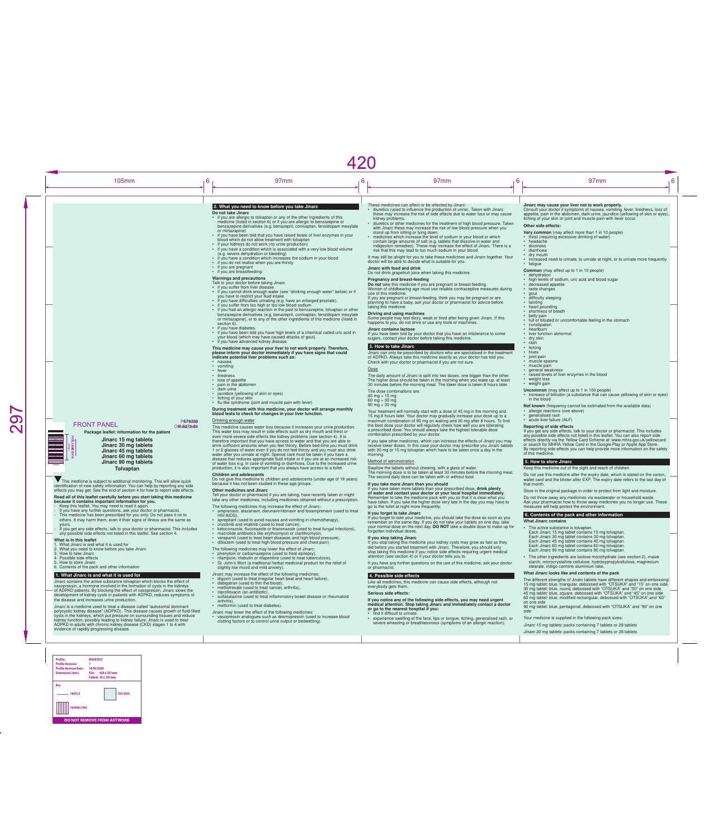benzazepine derivatives (e.g. benazepril, conivaptan, fenoldopam mesylate or mirtazapine), or to any of the other ingredients of this medicine (listed in section 6) • if you have diabetes. • if you have been told you have high levels of a chemical called uric acid in your blood (which may have caused attacks of gout). • if you have advanced kidney disease.

- The following medicines may increase the effect of Jinarc:
- amprenavir, atazanavir, darunavir/ritonavir and fosamprenavir (used to treat HIV/AIDS),
- aprepitant (used to avoid nausea and vomiting in chemotherapy).
- crizotinib and imatinib (used to treat cancer),
- ketoconazole, fluconazole or itraconazole (used to treat fungal infections), • macrolide antibiotics like erythromycin or clarithromycin,
- 
- verapamil (used to treat heart diseases and high blood pressure), • diltiazem (used to treat high blood pressure and chest pain).
- 

This medicine may cause your liver to not work properly. Therefore, please inform your doctor immediately if you have signs that could indicate potential liver problems such as:

- nausea
- vomiting
- fever
- tiredness
- loss of appetite
- pain in the abdomen
- dark urine
- jaundice (yellowing of skin or eyes)
- itching of your skin • flu-like syndrome (joint and muscle pain with fever)

#### During treatment with this medicine, your doctor will arrange monthly blood tests to check for changes in your liver function.

## Drinking enough water

This medicine causes water loss because it increases your urine production. This water loss may result in side effects such as dry mouth and thirst or even more severe side effects like kidney problems (see section 4). It is therefore important that you have access to water and that you are able to drink sufficient amounts when you feel thirsty. Before bed-time you must drink 1 or 2 glasses of water even if you do not feel thirsty and you must also drink water after you urinate at night. Special care must be taken if you have a disease that reduces appropriate fluid intake or if you are at an increased risk of water loss e.g. in case of vomiting or diarrhoea. Due to the increased urine production, it is also important that you always have access to a toilet.

Children and adolescents

• if you have difficulties urinating (e.g. have an enlarged prostate). • if you suffer from too high or too low blood sodium. • if you had an allergic reaction in the past to benzazepine, tolvaptan or other Some people may feel dizzy, weak or tired after being given Jinarc. If this

Do not give this medicine to children and adolescents (under age of 18 years) because it has not been studied in these age groups.

#### Other medicines and Jinarc

Tell your doctor or pharmacist if you are taking, have recently taken or might take any other medicines, including medicines obtained without a prescription.

- The dose combinations are:
- 45 mg + 15 mg
- 60 mg + 30 mg  $90 \text{ mg} + 30 \text{ mg}$

Swallow the tablets without chewing, with a glass of water. The morning dose is to be taken at least 30 minutes before the morning meal. The second daily dose can be taken with or without food

## The following medicines may lower the effect of Jinarc:

- phenytoin or carbamazepine (used to treat epilepsy),
- rifampicin, rifabutin or rifapentine (used to treat tuberculosis), • St. John's Wort (a traditional herbal medicinal product for the relief of
- slightly low mood and mild anxiety).

## Jinarc may increase the effect of the following medicines:

- digoxin (used to treat irregular heart beat and heart failure),
- dabigatran (used to thin the blood),
- methotrexate (used to treat cancer, arthritis),
- ciprofloxacin (an antibiotic).
- sulfasalazine (used to treat inflammatory bowel disease or rheumatoid arthritis),
- metformin (used to treat diabetes).
- Jinarc may lower the effect of the following medicines:
- vasopressin analogues such as desmopressin (used to increase blood clotting factors or to control urine output or bedwetting).

#### 105mm <sub>|</sub> 6 <sub>|</sub> 97mm <sub>|</sub> 6 <sub>|</sub> 97mm <sub>|</sub> 6 <sub>|</sub> 97mm <sub>|</sub> 6 2. What you need to know before you take Jinarc Do not take Jinarc • if you are allergic to tolvaptan or any of the other ingredients of this medicine (listed in section 6) or if you are allergic to benzazepine or benzazepine derivatives (e.g. benazepril, conivaptan, fenoldopam mesylate or mirtazapine) • if you have been told that you have raised levels of liver enzymes in your blood which do not allow treatment with tolvaptan • if your kidneys do not work (no urine production) • if you have a condition which is associated with a very low blood volume (e.g. severe dehydration or bleeding) • if you have a condition which increases the sodium in your blood • if you do not realise when you are thirsty • if you are pregnant • if you are breastfeeding. Warnings and precautions Talk to your doctor before taking Jinarc • if you suffer from liver disease. • if you cannot drink enough water (see "drinking enough water" below) or if you have to restrict your fluid intake. These medicines can affect or be affected by Jinarc: • diuretics (used to influence the production of urine). Taken with Jinarc these may increase the risk of side effects due to water loss or may cause kidney problems. • diuretics or other medicines for the treatment of high blood pressure. Taken with Jinarc these may increase the risk of low blood pressure when you stand up from sitting or lying down. • medicines which increase the level of sodium in your blood or which contain large amounts of salt (e.g. tablets that dissolve in water and indigestion remedies). These may increase the effect of Jinarc. There is a risk that this may lead to too much sodium in your blood. It may still be alright for you to take these medicines and Jinarc together. Your doctor will be able to decide what is suitable for you. Jinarc with food and drink Do not drink grapefruit juice when taking this medicine. Pregnancy and breast-feeding Do not take this medicine if you are pregnant or breast-feeding. Women of childbearing age must use reliable contraceptive measures during Jinarc may cause your liver not to work properly. Consult your doctor if symptoms of nausea, vomiting, fever, tiredness, loss of appetite, pain in the abdomen, dark urine, jaundice (yellowing of skin or eyes), itching of your skin or joint and muscle pain with fever occur. Other side effects: Very common (may affect more than 1 in 10 people) • thirst (requiring excessive drinking of water) • headache • dizziness • diarrhoea • dry mouth • increased need to urinate, to urinate at night, or to urinate more frequently • fatigue Common (may affect up to 1 in 10 people) • dehydration • high levels of sodium, uric acid and blood sugar • decreased appetite • taste changes • gout

- difficulty sleeping
- fainting
- heart pounding • shortness of breath
- belly pair
- full or bloated or uncomfortable feeling in the stomach
- constipation
- heartburn
- liver function abnormal
- dry skin
- rash **itching**
- hives
- joint pain
- muscle spasms • muscle pain
- general weakness
- raised levels of liver enzymes in the blood
- weight loss
- weight gain
- Uncommon (may affect up to 1 in 100 people) • increase of bilirubin (a substance that can cause yellowing of skin or eyes) in the blood
- Not known (frequency cannot be estimated from the available data)
- allergic reactions (see above)
- generalised rash
- acute liver failure (ALF)

420

use of this medicine.

If you are pregnant or breast-feeding, think you may be pregnant or are planning to have a baby, ask your doctor or pharmacist for advice before taking this medicine.

#### Driving and using machines

happens to you, do not drive or use any tools or machines. Jinarc contains lactose If you have been told by your doctor that you have an intolerance to some

sugars, contact your doctor before taking this medicine.

# 3. How to take Jinarc

Jinarc can only be prescribed by doctors who are specialised in the treatment of ADPKD. Always take this medicine exactly as your doctor has told you. Check with your doctor or pharmacist if you are not sure.

#### **Dose**

This medicine is subject to additional monitoring. This will allow quick identification of new safety information. You can help by reporting any side effects you may get. See the end of section 4 for how to report side effects. The daily amount of Jinarc is split into two doses, one bigger than the other. The higher dose should be taken in the morning when you wake up, at least 30 minutes before the morning meal. The lower dose is taken 8 hours later.

- Keep this leaflet. You may need to read it again
- If you have any further questions, ask your doctor or pharmacist. - This medicine has been prescribed for you only. Do not pass it on to others. It may harm them, even if their signs of illness are the same as yours.
- If you get any side effects, talk to your doctor or pharmacist. This includes any possible side effects not listed in this leaflet. See section 4.

- . What Jinarc is and what it is used for
- 2. What you need to know before you take Jinarc
- 3. How to take Jinarc
- 4. Possible side effects 5. How to store Jinarc
- 6. Contents of the pack and other information

## 1. What Jinarc is and what it is used for

Your treatment will normally start with a dose of 45 mg in the morning and 15 mg 8 hours later. Your doctor may gradually increase your dose up to a maximum combination of 90 mg on waking and 30 mg after 8 hours. To find the best dose your doctor will regularly check how well you are tolerating a prescribed dose. You should always take the highest tolerable dose combination prescribed by your doctor.

If you take other medicines, which can increase the effects of Jinarc you may receive lower doses. In this case your doctor may prescribe you Jinarc tablets with 30 mg or 15 mg tolvaptan which have to be taken once a day in the morning.

## Method of administration

If you take more Jinarc than you should If you have taken more tablets than your prescribed dose, drink plenty of water and contact your doctor or your local hospital immediately.

Remember to take the medicine pack with you so that it is clear what you have taken. If you take the higher dose very late in the day you may have to go to the toilet at night more frequently.

#### If you forget to take Jinarc

If you forget to take your medicine, you should take the dose as soon as you remember on the same day. If you do not take your tablets on one day, take your normal dose on the next day. DO NOT take a double dose to make up for forgotten individual doses.

#### If you stop taking Jinarc

If you stop taking this medicine your kidney cysts may grow as fast as they did before you started treatment with Jinarc. Therefore, you should only stop taking this medicine if you notice side effects requiring urgent medical attention (see section 4) or if your doctor tells you to.

If you have any further questions on the use of this medicine, ask your doctor or pharmacist.

## 4. Possible side effects

Like all medicines, this medicine can cause side effects, although not everybody gets them.

## Serious side effects:

#### If you notice any of the following side effects, you may need urgent medical attention. Stop taking Jinarc and immediately contact a doctor or go to the nearest hospital if you:

• find it difficult to urinate.

• experience swelling of the face, lips or tongue, itching, generalised rash, or severe wheezing or breathlessness (symptoms of an allergic reaction).

#### Reporting of side effects If you get any side effects, talk to your doctor or pharmacist. This includes any possible side effects not listed in this leaflet. You can also report side effects directly via the Yellow Card Scheme at: www.mhra.gov.uk/yellowcard or search for MHRA Yellow Card in the Google Play or Apple App Store. By reporting side effects you can help provide more information on the safety of this medicine.

## 5. How to store Jinarc

Keep this medicine out of the sight and reach of children. Do not use this medicine after the expiry date, which is stated on the carton,

 $\bigcirc$ 

## PGY9708<br>PERONT PANEL OTRASTARE Ot<sub>R</sub>+8273-04

wallet card and the blister after EXP. The expiry date refers to the last day of that month.

Store in the original package in order to protect from light and moisture.

Do not throw away any medicines via wastewater or household waste. Ask your pharmacist how to throw away medicines you no longer use. These measures will help protect the environment.

## 6. Contents of the pack and other information

What Jinarc contains

- The active substance is tolvaptan. Each Jinarc 15 mg tablet contains 15 mg tolvaptan. Each Jinarc 30 mg tablet contains 30 mg tolvaptan. Each Jinarc 45 mg tablet contains 45 mg tolvaptan. Each Jinarc 60 mg tablet contains 60 mg tolvaptan. Each Jinarc 90 mg tablet contains 90 mg tolvaptan.
- The other ingredients are lactose monohydrate (see section 2), maize starch, microcrystalline cellulose, hydroxypropylcellulose, magnesium stearate, indigo carmine aluminium lake

#### What Jinarc looks like and contents of the pack

The different strengths of Jinarc tablets have different shapes and embossing: 15 mg tablet: blue, triangular, debossed with "OTSUKA" and "15" on one side. 30 mg tablet: blue, round, debossed with "OTSUKA" and "30" on one side. 45 mg tablet: blue, square, debossed with "OTSUKA" and "45" on one side 60 mg tablet: blue, modified rectangular, debossed with "OTSUKA" and "60" on one side

90 mg tablet: blue, pentagonal, debossed with "OTSUKA" and "90" on one side

Your medicine is supplied in the following pack sizes:

*Jinarc 15 mg tablets*: packs containing 7 tablets or 28 tablets

*Jinarc 30 mg tablets*: packs containing 7 tablets or 28 tablets

Package leaflet: Information for the patient Jinarc 15 mg tablets Jinarc 30 mg tablets Jinarc 45 mg tablets Jinarc 60 mg tablets Jinarc 90 mg tablets Tolvaptan

#### Read all of this leaflet carefully before you start taking this medicine because it contains important information for you.

#### What is in this leaflet

Jinarc contains the active substance tolvaptan which blocks the effect of vasopressin, a hormone involved in the formation of cysts in the kidneys of ADPKD patients. By blocking the effect of vasopressin, Jinarc slows the development of kidney cysts in patients with ADPKD, reduces symptoms of the disease and increases urine production.

Jinarc is a medicine used to treat a disease called "autosomal dominant polycystic kidney disease" (ADPKD). This disease causes growth of fluid-filled cysts in the kidneys, which put pressure on surrounding tissues and reduce kidney function, possibly leading to kidney failure. Jinarc is used to treat ADPKD in adults with chronic kidney disease (CKD) stages 1 to 4 with evidence of rapidly progressing disease.